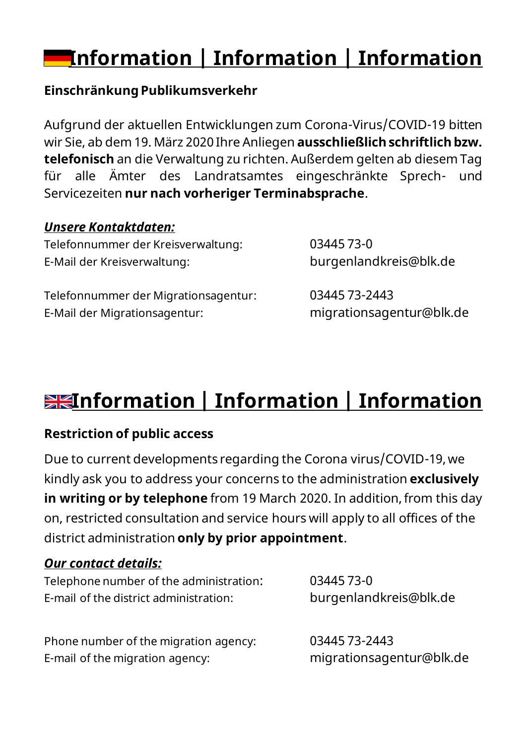# **Information | Information | Information**

### **Einschränkung Publikumsverkehr**

Aufgrund der aktuellen Entwicklungen zum Corona-Virus/COVID-19 bitten wir Sie, ab dem 19. März 2020 Ihre Anliegen **ausschließlich schriftlich bzw. telefonisch** an die Verwaltung zu richten. Außerdem gelten ab diesem Tag für alle Ämter des Landratsamtes eingeschränkte Sprech- und Servicezeiten **nur nach vorheriger Terminabsprache**.

### *Unsere Kontaktdaten:*

Telefonnummer der Kreisverwaltung: 03445 73-0 E-Mail der Kreisverwaltung: burgenlandkreis@blk.de

Telefonnummer der Migrationsagentur: 03445 73-2443 E-Mail der Migrationsagentur: migrationsagentur@blk.de

# **Information | Information | Information**

### **Restriction of public access**

Due to current developments regarding the Corona virus/COVID-19, we kindly ask you to address your concerns to the administration **exclusively in writing or by telephone** from 19 March 2020. In addition, from this day on, restricted consultation and service hours will apply to all offices of the district administration **only by prior appointment**.

#### *Our contact details:*

Telephone number of the administration: 03445 73-0

E-mail of the district administration: burgenlandkreis@blk.de

Phone number of the migration agency: 03445 73-2443 E-mail of the migration agency: migrationsagentur@blk.de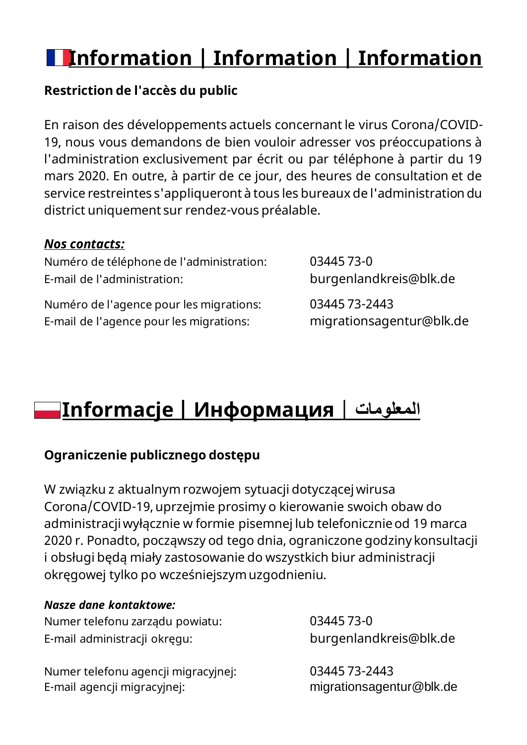# **Information | Information | Information**

### **Restriction de l'accès du public**

En raison des développements actuels concernant le virus Corona/COVID-19, nous vous demandons de bien vouloir adresser vos préoccupations à l'administration exclusivement par écrit ou par téléphone à partir du 19 mars 2020. En outre, à partir de ce jour, des heures de consultation et de service restreintes s'appliqueront à tous les bureaux de l'administration du district uniquement sur rendez-vous préalable.

#### *Nos contacts:*

Numéro de téléphone de l'administration: 03445 73-0 E-mail de l'administration: burgenlandkreis@blk.de

Numéro de l'agence pour les migrations: 03445 73-2443 E-mail de l'agence pour les migrations: migrationsagentur@blk.de

# **Informacje | Информация** | **المعلومات**

### **Ograniczenie publicznego dostępu**

W związku z aktualnym rozwojem sytuacji dotyczącej wirusa Corona/COVID-19, uprzejmie prosimy o kierowanie swoich obaw do administracji wyłącznie w formie pisemnej lub telefonicznie od 19 marca 2020 r. Ponadto, począwszy od tego dnia, ograniczone godziny konsultacji i obsługi będą miały zastosowanie do wszystkich biur administracji okręgowej tylko po wcześniejszym uzgodnieniu.

#### *Nasze dane kontaktowe:*

Numer telefonu zarządu powiatu: 03445 73-0 E-mail administracji okręgu: burgenlandkreis@blk.de

Numer telefonu agencji migracyjnej: 03445 73-2443 E-mail agencji migracyjnej: migrationsagentur@blk.de